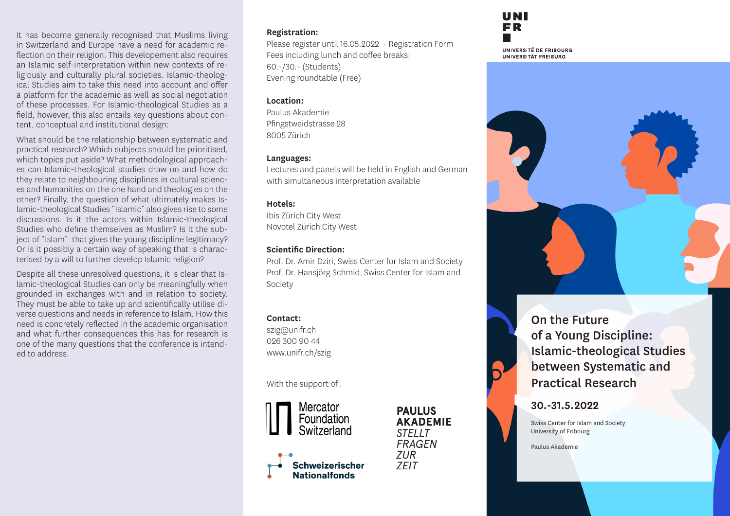It has become generally recognised that Muslims living in Switzerland and Europe have a need for academic reflection on their religion. This developement also requires an Islamic self-interpretation within new contexts of religiously and culturally plural societies. Islamic-theological Studies aim to take this need into account and offer a platform for the academic as well as social negotiation of these processes. For Islamic-theological Studies as a field, however, this also entails key questions about content, conceptual and institutional design:

What should be the relationship between systematic and practical research? Which subjects should be prioritised, which topics put aside? What methodological approaches can Islamic-theological studies draw on and how do they relate to neighbouring disciplines in cultural sciences and humanities on the one hand and theologies on the other? Finally, the question of what ultimately makes Islamic-theological Studies "Islamic" also gives rise to some discussions. Is it the actors within Islamic-theological Studies who define themselves as Muslim? Is it the subject of "Islam" that gives the young discipline legitimacy? Or is it possibly a certain way of speaking that is characterised by a will to further develop Islamic religion?

Despite all these unresolved questions, it is clear that Islamic-theological Studies can only be meaningfully when grounded in exchanges with and in relation to society. They must be able to take up and scientifically utilise diverse questions and needs in reference to Islam. How this need is concretely reflected in the academic organisation and what further consequences this has for research is one of the many questions that the conference is intended to address.

#### **Registration:**

Please register until 16.05.2022 - Registration Form Fees including lunch and coffee breaks: 60.-/30.- (Students) Evening roundtable (Free)

### **Location:**

Paulus Akademie Pfingstweidstrasse 28 8005 Zürich

#### **Languages:**

Lectures and panels will be held in English and German with simultaneous interpretation available

### **Hotels:**

Ibis Zürich City West Novotel Zürich City West

## **Scientific Direction:**

Prof. Dr. Amir Dziri, Swiss Center for Islam and Society Prof. Dr. Hansjörg Schmid, Swiss Center for Islam and Society

## **Contact:**

szig@unifr.ch 026 300 90 44 www.unifr.ch/szig

With the support of :



**PAULUS AKADEMIE**  $STFIIT$ **FRAGEN ZUR 7FIT** 

On the Future of a Young Discipline: Islamic-theological Studies between Systematic and Practical Research

## **30.-31.5.2022**

Swiss Center for Islam and Society University of Fribourg

Paulus Akademie

UNI FR

UNIVERSITÉ DE FRIBOURG UNIVERSITÄT FREIBURG